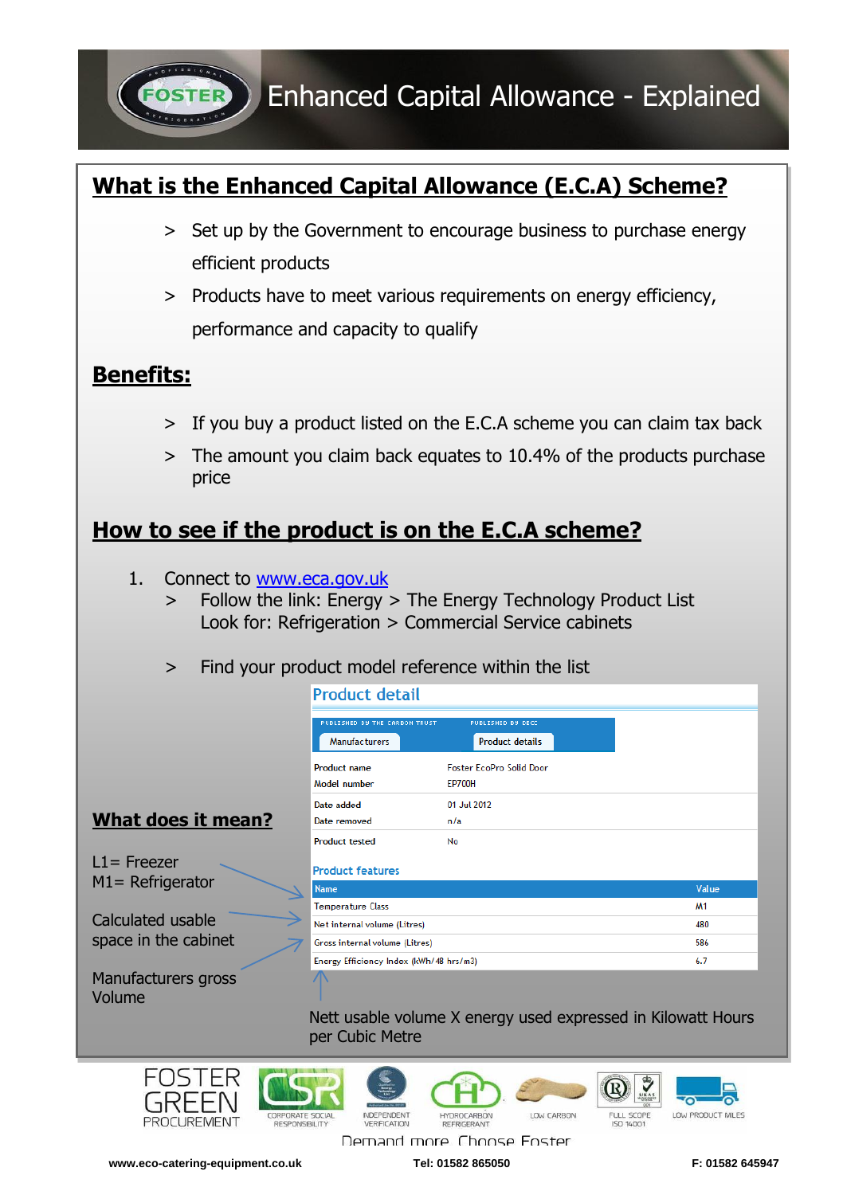Enhanced Capital Allowance - Explained

## **What is the Enhanced Capital Allowance (E.C.A) Scheme?**

- > Set up by the Government to encourage business to purchase energy efficient products
- ˃ Products have to meet various requirements on energy efficiency, performance and capacity to qualify

## **Benefits:**

- > If you buy a product listed on the E.C.A scheme you can claim tax back
- ˃ The amount you claim back equates to 10.4% of the products purchase price

## **How to see if the product is on the E.C.A scheme?**

1. Connect to [www.eca.gov.uk](http://www.eca.gov.uk/)

**PROCUREMENT** 

**RESPONSIBILITY** 

- > Follow the link: Energy > The Energy Technology Product List Look for: Refrigeration > Commercial Service cabinets
- > Find your product model reference within the list

|                                                                                 | Product detail                          |                                 |         |           |
|---------------------------------------------------------------------------------|-----------------------------------------|---------------------------------|---------|-----------|
|                                                                                 | PUBLISHED BY THE CARBON TRUST           | <b>PUBLISHED BY DECC</b>        |         |           |
|                                                                                 | <b>Manufacturers</b>                    | <b>Product details</b>          |         |           |
|                                                                                 | <b>Product name</b>                     | <b>Foster EcoPro Solid Door</b> |         |           |
|                                                                                 | Model number                            | <b>EP700H</b>                   |         |           |
|                                                                                 | Date added                              | 01 Jul 2012                     |         |           |
| What does it mean?                                                              | Date removed                            | n/a                             |         |           |
|                                                                                 | <b>Product tested</b>                   | No                              |         |           |
| $11 =$ Freezer<br>$M1 = Refrigerator$                                           | <b>Product features</b>                 |                                 |         |           |
|                                                                                 | <b>Name</b>                             |                                 |         | Value     |
| Calculated usable<br>space in the cabinet                                       | <b>Temperature Class</b>                |                                 |         | <b>M1</b> |
|                                                                                 | Net internal volume (Litres)            |                                 |         | 480       |
|                                                                                 | Gross internal volume (Litres)          |                                 |         | 586       |
|                                                                                 | Energy Efficiency Index (kWh/48 hrs/m3) |                                 |         | 6.7       |
| Manufacturers gross<br>Volume                                                   |                                         |                                 |         |           |
| Nett usable volume X energy used expressed in Kilowatt Hours<br>per Cubic Metre |                                         |                                 |         |           |
|                                                                                 |                                         |                                 | ₩<br>DY |           |

REFRIGERANT Demand more Choose Eoster

**VERIEICATION** 

**HYDROCARBON** 

 $\overline{\bullet}$ 

LOW PRODUCT MILES

FULL SCOPE

ISO 14001

LOW CARBON